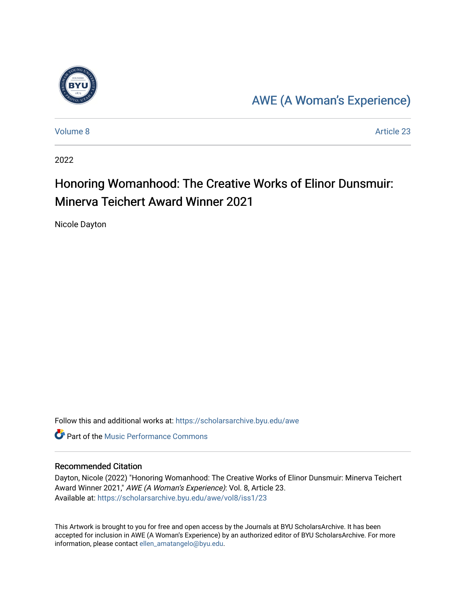

## [AWE \(A Woman's Experience\)](https://scholarsarchive.byu.edu/awe)

[Volume 8](https://scholarsarchive.byu.edu/awe/vol8) Article 23

2022

## Honoring Womanhood: The Creative Works of Elinor Dunsmuir: Minerva Teichert Award Winner 2021

Nicole Dayton

Follow this and additional works at: [https://scholarsarchive.byu.edu/awe](https://scholarsarchive.byu.edu/awe?utm_source=scholarsarchive.byu.edu%2Fawe%2Fvol8%2Fiss1%2F23&utm_medium=PDF&utm_campaign=PDFCoverPages)

**C** Part of the [Music Performance Commons](https://network.bepress.com/hgg/discipline/1128?utm_source=scholarsarchive.byu.edu%2Fawe%2Fvol8%2Fiss1%2F23&utm_medium=PDF&utm_campaign=PDFCoverPages)

## Recommended Citation

Dayton, Nicole (2022) "Honoring Womanhood: The Creative Works of Elinor Dunsmuir: Minerva Teichert Award Winner 2021," AWE (A Woman's Experience): Vol. 8, Article 23. Available at: [https://scholarsarchive.byu.edu/awe/vol8/iss1/23](https://scholarsarchive.byu.edu/awe/vol8/iss1/23?utm_source=scholarsarchive.byu.edu%2Fawe%2Fvol8%2Fiss1%2F23&utm_medium=PDF&utm_campaign=PDFCoverPages) 

This Artwork is brought to you for free and open access by the Journals at BYU ScholarsArchive. It has been accepted for inclusion in AWE (A Woman's Experience) by an authorized editor of BYU ScholarsArchive. For more information, please contact [ellen\\_amatangelo@byu.edu.](mailto:ellen_amatangelo@byu.edu)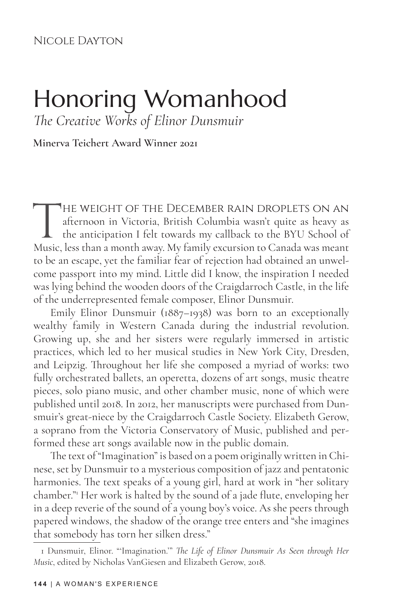## Honoring Womanhood

*The Creative Works of Elinor Dunsmuir*

**Minerva Teichert Award Winner 2021**

THE WEIGHT OF THE DECEMBER RAIN DROPLETS ON AN<br>afternoon in Victoria, British Columbia wasn't quite as heavy as<br>the anticipation I felt towards my callback to the BYU School of<br>Music, less than a month away. My family excu afternoon in Victoria, British Columbia wasn't quite as heavy as the anticipation I felt towards my callback to the BYU School of Music, less than a month away. My family excursion to Canada was meant to be an escape, yet the familiar fear of rejection had obtained an unwelcome passport into my mind. Little did I know, the inspiration I needed was lying behind the wooden doors of the Craigdarroch Castle, in the life of the underrepresented female composer, Elinor Dunsmuir.

Emily Elinor Dunsmuir (1887–1938) was born to an exceptionally wealthy family in Western Canada during the industrial revolution. Growing up, she and her sisters were regularly immersed in artistic practices, which led to her musical studies in New York City, Dresden, and Leipzig. Throughout her life she composed a myriad of works: two fully orchestrated ballets, an operetta, dozens of art songs, music theatre pieces, solo piano music, and other chamber music, none of which were published until 2018. In 2012, her manuscripts were purchased from Dunsmuir's great-niece by the Craigdarroch Castle Society. Elizabeth Gerow, a soprano from the Victoria Conservatory of Music, published and performed these art songs available now in the public domain.

The text of "Imagination" is based on a poem originally written in Chinese, set by Dunsmuir to a mysterious composition of jazz and pentatonic harmonies. The text speaks of a young girl, hard at work in "her solitary chamber."1 Her work is halted by the sound of a jade flute, enveloping her in a deep reverie of the sound of a young boy's voice. As she peers through papered windows, the shadow of the orange tree enters and "she imagines that somebody has torn her silken dress."

<sup>1</sup> Dunsmuir, Elinor. "'Imagination.'" *The Life of Elinor Dunsmuir As Seen through Her Music*, edited by Nicholas VanGiesen and Elizabeth Gerow, 2018.